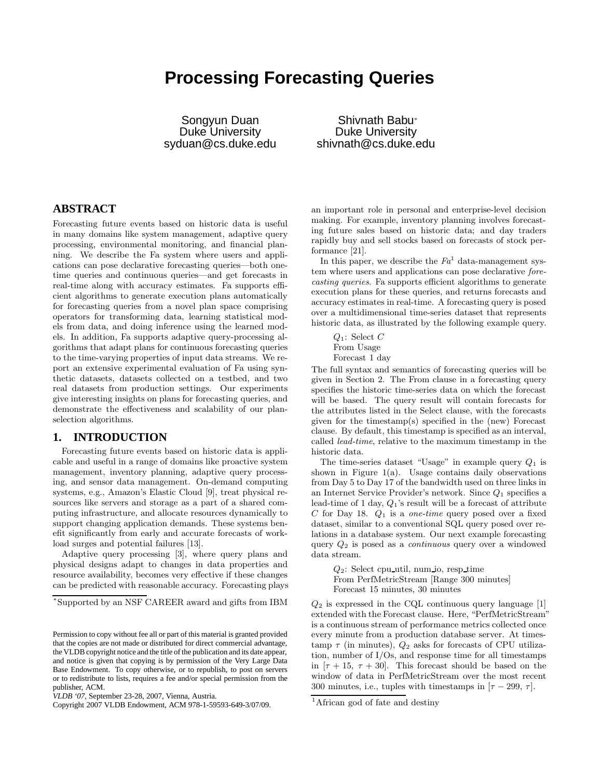# **Processing Forecasting Queries**

Songyun Duan Duke University syduan@cs.duke.edu

Shivnath Babu ∗ Duke University shivnath@cs.duke.edu

# **ABSTRACT**

Forecasting future events based on historic data is useful in many domains like system management, adaptive query processing, environmental monitoring, and financial planning. We describe the Fa system where users and applications can pose declarative forecasting queries—both onetime queries and continuous queries—and get forecasts in real-time along with accuracy estimates. Fa supports efficient algorithms to generate execution plans automatically for forecasting queries from a novel plan space comprising operators for transforming data, learning statistical models from data, and doing inference using the learned models. In addition, Fa supports adaptive query-processing algorithms that adapt plans for continuous forecasting queries to the time-varying properties of input data streams. We report an extensive experimental evaluation of Fa using synthetic datasets, datasets collected on a testbed, and two real datasets from production settings. Our experiments give interesting insights on plans for forecasting queries, and demonstrate the effectiveness and scalability of our planselection algorithms.

# **1. INTRODUCTION**

Forecasting future events based on historic data is applicable and useful in a range of domains like proactive system management, inventory planning, adaptive query processing, and sensor data management. On-demand computing systems, e.g., Amazon's Elastic Cloud [9], treat physical resources like servers and storage as a part of a shared computing infrastructure, and allocate resources dynamically to support changing application demands. These systems benefit significantly from early and accurate forecasts of workload surges and potential failures [13].

Adaptive query processing [3], where query plans and physical designs adapt to changes in data properties and resource availability, becomes very effective if these changes can be predicted with reasonable accuracy. Forecasting plays

<sup>∗</sup>Supported by an NSF CAREER award and gifts from IBM

an important role in personal and enterprise-level decision making. For example, inventory planning involves forecasting future sales based on historic data; and day traders rapidly buy and sell stocks based on forecasts of stock performance [21].

In this paper, we describe the  $Fa<sup>1</sup>$  data-management system where users and applications can pose declarative forecasting queries. Fa supports efficient algorithms to generate execution plans for these queries, and returns forecasts and accuracy estimates in real-time. A forecasting query is posed over a multidimensional time-series dataset that represents historic data, as illustrated by the following example query.

 $Q_1$ : Select C From Usage Forecast 1 day

The full syntax and semantics of forecasting queries will be given in Section 2. The From clause in a forecasting query specifies the historic time-series data on which the forecast will be based. The query result will contain forecasts for the attributes listed in the Select clause, with the forecasts given for the timestamp(s) specified in the (new) Forecast clause. By default, this timestamp is specified as an interval, called lead-time, relative to the maximum timestamp in the historic data.

The time-series dataset "Usage" in example query  $Q_1$  is shown in Figure  $1(a)$ . Usage contains daily observations from Day 5 to Day 17 of the bandwidth used on three links in an Internet Service Provider's network. Since  $Q_1$  specifies a lead-time of 1 day,  $Q_1$ 's result will be a forecast of attribute C for Day 18.  $Q_1$  is a *one-time* query posed over a fixed dataset, similar to a conventional SQL query posed over relations in a database system. Our next example forecasting query  $Q_2$  is posed as a *continuous* query over a windowed data stream.

 $Q_2$ : Select cpu util, num io, resp time From PerfMetricStream [Range 300 minutes] Forecast 15 minutes, 30 minutes

 $Q_2$  is expressed in the CQL continuous query language [1] extended with the Forecast clause. Here, "PerfMetricStream" is a continuous stream of performance metrics collected once every minute from a production database server. At timestamp  $\tau$  (in minutes),  $Q_2$  asks for forecasts of CPU utilization, number of I/Os, and response time for all timestamps in  $[\tau + 15, \tau + 30]$ . This forecast should be based on the window of data in PerfMetricStream over the most recent 300 minutes, i.e., tuples with timestamps in  $[\tau - 299, \tau]$ .

Permission to copy without fee all or part of this material is granted provided that the copies are not made or distributed for direct commercial advantage, the VLDB copyright notice and the title of the publication and its date appear, and notice is given that copying is by permission of the Very Large Data Base Endowment. To copy otherwise, or to republish, to post on servers or to redistribute to lists, requires a fee and/or special permission from the publisher, ACM.

*VLDB '07,* September 23-28, 2007, Vienna, Austria.

Copyright 2007 VLDB Endowment, ACM 978-1-59593-649-3/07/09.

<sup>&</sup>lt;sup>1</sup>African god of fate and destiny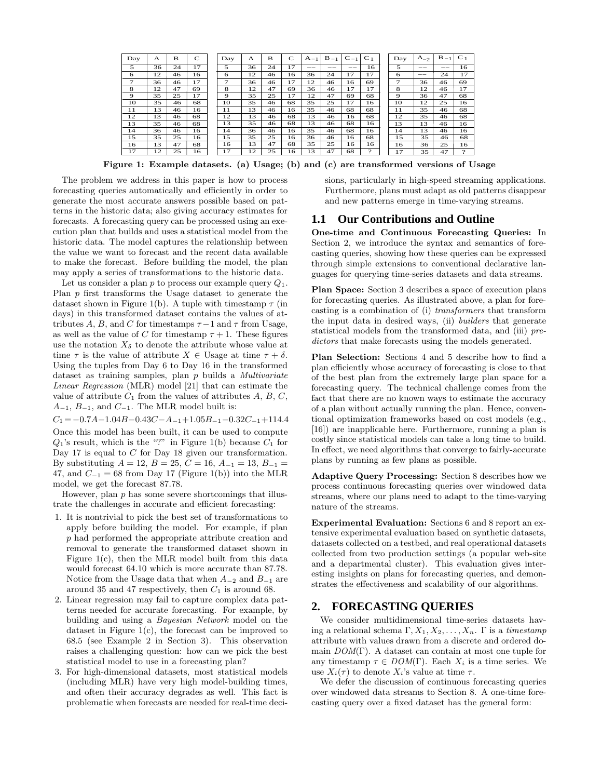| Day | A  | B  | $\mathsf{C}$ | Day         | A  | в  | C  | $A_{-1}$ | $B_{-1}$ | $C_{-1}$ | C <sub>1</sub> | Day                   | . $A_{-2}$ | $B_{-1}$ | $C_1$ |
|-----|----|----|--------------|-------------|----|----|----|----------|----------|----------|----------------|-----------------------|------------|----------|-------|
| 5   | 36 | 24 | 17           | 5           | 36 | 24 | 17 | --       | --       | --       | 16             | 5                     | --         | $- -$    | 16    |
| 6   | 12 | 46 | 16           | 6           | 12 | 46 | 16 | 36       | 24       | 17       | 17             | 6                     | __         | 24       | 17    |
| 7   | 36 | 46 | 17           | 7           | 36 | 46 | 17 | 12       | 46       | 16       | 69             | 7                     | 36         | 46       | 69    |
| 8   | 12 | 47 | 69           | 8           | 12 | 47 | 69 | 36       | 46       | 17       | 17             | 8                     | 12         | 46       | 17    |
| 9   | 35 | 25 | 17           | $\mathbf Q$ | 35 | 25 | 17 | 12       | 47       | 69       | 68             | $\boldsymbol{\Theta}$ | 36         | 47       | 68    |
| 10  | 35 | 46 | 68           | 10          | 35 | 46 | 68 | 35       | 25       | 17       | 16             | 10                    | 12         | 25       | 16    |
| 11  | 13 | 46 | 16           | 11          | 13 | 46 | 16 | 35       | 46       | 68       | 68             | 11                    | 35         | 46       | 68    |
| 12  | 13 | 46 | 68           | 12          | 13 | 46 | 68 | 13       | 46       | 16       | 68             | 12                    | 35         | 46       | 68    |
| 13  | 35 | 46 | 68           | 13          | 35 | 46 | 68 | 13       | 46       | 68       | 16             | 13                    | 13         | 46       | 16    |
| 14  | 36 | 46 | 16           | 14          | 36 | 46 | 16 | 35       | 46       | 68       | 16             | 14                    | 13         | 46       | 16    |
| 15  | 35 | 25 | 16           | 15          | 35 | 25 | 16 | 36       | 46       | 16       | 68             | 15                    | 35         | 46       | 68    |
| 16  | 13 | 47 | 68           | 16          | 13 | 47 | 68 | 35       | 25       | 16       | 16             | 16                    | 36         | 25       | 16    |
| 17  | 12 | 25 | 16           | 17          | 12 | 25 | 16 | 13       | 47       | 68       | $\Omega$       | 17                    | 35         | 47       | 2     |

Figure 1: Example datasets. (a) Usage; (b) and (c) are transformed versions of Usage

The problem we address in this paper is how to process forecasting queries automatically and efficiently in order to generate the most accurate answers possible based on patterns in the historic data; also giving accuracy estimates for forecasts. A forecasting query can be processed using an execution plan that builds and uses a statistical model from the historic data. The model captures the relationship between the value we want to forecast and the recent data available to make the forecast. Before building the model, the plan may apply a series of transformations to the historic data.

Let us consider a plan p to process our example query  $Q_1$ . Plan  $p$  first transforms the Usage dataset to generate the dataset shown in Figure 1(b). A tuple with timestamp  $\tau$  (in days) in this transformed dataset contains the values of attributes A, B, and C for timestamps  $\tau - 1$  and  $\tau$  from Usage, as well as the value of C for timestamp  $\tau + 1$ . These figures use the notation  $X_{\delta}$  to denote the attribute whose value at time  $\tau$  is the value of attribute  $X \in \mathcal{X}$  as time  $\tau + \delta$ . Using the tuples from Day 6 to Day 16 in the transformed dataset as training samples, plan p builds a Multivariate Linear Regression (MLR) model [21] that can estimate the value of attribute  $C_1$  from the values of attributes  $A, B, C$ ,  $A_{-1}$ ,  $B_{-1}$ , and  $C_{-1}$ . The MLR model built is:

 $C_1 = -0.7A-1.04B-0.43C-A_{-1}+1.05B_{-1}-0.32C_{-1}+114.4$ Once this model has been built, it can be used to compute  $Q_1$ 's result, which is the "?" in Figure 1(b) because  $C_1$  for Day 17 is equal to C for Day 18 given our transformation. By substituting  $A = 12$ ,  $B = 25$ ,  $C = 16$ ,  $A_{-1} = 13$ ,  $B_{-1} =$ 47, and  $C_{-1} = 68$  from Day 17 (Figure 1(b)) into the MLR model, we get the forecast 87.78.

However, plan  $p$  has some severe shortcomings that illustrate the challenges in accurate and efficient forecasting:

- 1. It is nontrivial to pick the best set of transformations to apply before building the model. For example, if plan p had performed the appropriate attribute creation and removal to generate the transformed dataset shown in Figure 1(c), then the MLR model built from this data would forecast 64.10 which is more accurate than 87.78. Notice from the Usage data that when  $A_{-2}$  and  $B_{-1}$  are around 35 and 47 respectively, then  $C_1$  is around 68.
- 2. Linear regression may fail to capture complex data patterns needed for accurate forecasting. For example, by building and using a Bayesian Network model on the dataset in Figure 1(c), the forecast can be improved to 68.5 (see Example 2 in Section 3). This observation raises a challenging question: how can we pick the best statistical model to use in a forecasting plan?
- 3. For high-dimensional datasets, most statistical models (including MLR) have very high model-building times, and often their accuracy degrades as well. This fact is problematic when forecasts are needed for real-time deci-

sions, particularly in high-speed streaming applications. Furthermore, plans must adapt as old patterns disappear and new patterns emerge in time-varying streams.

#### **1.1 Our Contributions and Outline**

One-time and Continuous Forecasting Queries: In Section 2, we introduce the syntax and semantics of forecasting queries, showing how these queries can be expressed through simple extensions to conventional declarative languages for querying time-series datasets and data streams.

Plan Space: Section 3 describes a space of execution plans for forecasting queries. As illustrated above, a plan for forecasting is a combination of (i) transformers that transform the input data in desired ways, (ii) builders that generate statistical models from the transformed data, and (iii) predictors that make forecasts using the models generated.

Plan Selection: Sections 4 and 5 describe how to find a plan efficiently whose accuracy of forecasting is close to that of the best plan from the extremely large plan space for a forecasting query. The technical challenge comes from the fact that there are no known ways to estimate the accuracy of a plan without actually running the plan. Hence, conventional optimization frameworks based on cost models (e.g., [16]) are inapplicable here. Furthermore, running a plan is costly since statistical models can take a long time to build. In effect, we need algorithms that converge to fairly-accurate plans by running as few plans as possible.

Adaptive Query Processing: Section 8 describes how we process continuous forecasting queries over windowed data streams, where our plans need to adapt to the time-varying nature of the streams.

Experimental Evaluation: Sections 6 and 8 report an extensive experimental evaluation based on synthetic datasets, datasets collected on a testbed, and real operational datasets collected from two production settings (a popular web-site and a departmental cluster). This evaluation gives interesting insights on plans for forecasting queries, and demonstrates the effectiveness and scalability of our algorithms.

# **2. FORECASTING QUERIES**

We consider multidimensional time-series datasets having a relational schema  $\Gamma, X_1, X_2, \ldots, X_n$ . Γ is a timestamp attribute with values drawn from a discrete and ordered domain  $DOM(\Gamma)$ . A dataset can contain at most one tuple for any timestamp  $\tau \in DOM(\Gamma)$ . Each  $X_i$  is a time series. We use  $X_i(\tau)$  to denote  $X_i$ 's value at time  $\tau$ .

We defer the discussion of continuous forecasting queries over windowed data streams to Section 8. A one-time forecasting query over a fixed dataset has the general form: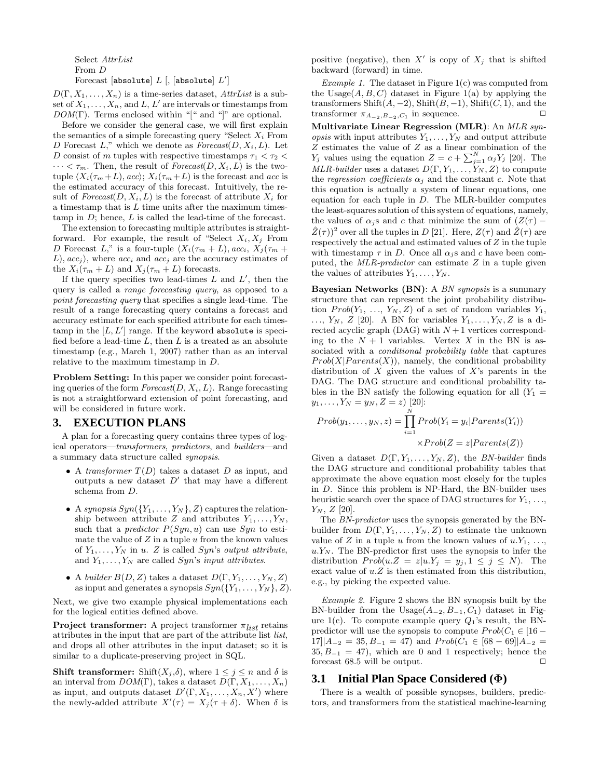Select AttrList From D

Forecast [absolute]  $L$  [, [absolute]  $L'$ ]

 $D(\Gamma, X_1, \ldots, X_n)$  is a time-series dataset, AttrList is a subset of  $X_1, \ldots, X_n$ , and L, L' are intervals or timestamps from  $DOM(\Gamma)$ . Terms enclosed within "[" and "]" are optional.

Before we consider the general case, we will first explain the semantics of a simple forecasting query "Select  $X_i$  From D Forecast  $L$ ," which we denote as  $Forecast(D, X_i, L)$ . Let D consist of m tuples with respective timestamps  $\tau_1 < \tau_2 <$  $\cdots < \tau_m$ . Then, the result of *Forecast*( $D, X_i, L$ ) is the twotuple  $\langle X_i(\tau_m + L), acc \rangle; X_i(\tau_m + L)$  is the forecast and acc is the estimated accuracy of this forecast. Intuitively, the result of  $Forecast(D, X_i, L)$  is the forecast of attribute  $X_i$  for a timestamp that is  $L$  time units after the maximum timestamp in  $D$ ; hence,  $L$  is called the lead-time of the forecast.

The extension to forecasting multiple attributes is straightforward. For example, the result of "Select  $X_i, X_j$  From D Forecast L," is a four-tuple  $\langle X_i(\tau_m + L), acc_i, X_j(\tau_m + L) \rangle$  $(L)$ ,  $acc_j$ , where  $acc_i$  and  $acc_j$  are the accuracy estimates of the  $X_i(\tau_m + L)$  and  $X_j(\tau_m + L)$  forecasts.

If the query specifies two lead-times  $L$  and  $L'$ , then the query is called a range forecasting query, as opposed to a point forecasting query that specifies a single lead-time. The result of a range forecasting query contains a forecast and accuracy estimate for each specified attribute for each timestamp in the  $[L, L']$  range. If the keyword absolute is specified before a lead-time  $L$ , then  $L$  is a treated as an absolute timestamp (e.g., March 1, 2007) rather than as an interval relative to the maximum timestamp in D.

Problem Setting: In this paper we consider point forecasting queries of the form  $Forecast(D, X_i, L)$ . Range forecasting is not a straightforward extension of point forecasting, and will be considered in future work.

#### **3. EXECUTION PLANS**

A plan for a forecasting query contains three types of logical operators—transformers, predictors, and builders—and a summary data structure called synopsis.

- A transformer  $T(D)$  takes a dataset D as input, and outputs a new dataset  $D'$  that may have a different schema from D.
- A synopsis  $Syn({Y_1}, \ldots, Y_N)$ , Z) captures the relationship between attribute Z and attributes  $Y_1, \ldots, Y_N$ , such that a *predictor*  $P(Syn, u)$  can use  $Syn$  to estimate the value of  $Z$  in a tuple  $u$  from the known values of  $Y_1, \ldots, Y_N$  in u. Z is called Syn's output attribute, and  $Y_1, \ldots, Y_N$  are called Syn's input attributes.
- A builder  $B(D, Z)$  takes a dataset  $D(\Gamma, Y_1, \ldots, Y_N, Z)$ as input and generates a synopsis  $Syn({Y_1}, \ldots, Y_N), Z$ .

Next, we give two example physical implementations each for the logical entities defined above.

**Project transformer:** A project transformer  $\pi_{list}$  retains attributes in the input that are part of the attribute list list, and drops all other attributes in the input dataset; so it is similar to a duplicate-preserving project in SQL.

**Shift transformer:** Shift( $X_j$ , $\delta$ ), where  $1 \leq j \leq n$  and  $\delta$  is an interval from  $DOM(\Gamma)$ , takes a dataset  $D(\Gamma, X_1, \ldots, X_n)$ as input, and outputs dataset  $D'(\Gamma, X_1, \ldots, X_n, X')$  where the newly-added attribute  $X'(\tau) = X_j(\tau + \delta)$ . When  $\delta$  is

positive (negative), then  $X'$  is copy of  $X_j$  that is shifted backward (forward) in time.

Example 1. The dataset in Figure  $1(c)$  was computed from the Usage $(A, B, C)$  dataset in Figure 1(a) by applying the transformers Shift $(A, -2)$ , Shift $(B, -1)$ , Shift $(C, 1)$ , and the transformer  $\pi_{A_{-2},B_{-2},C_1}$  in sequence.

Multivariate Linear Regression (MLR): An MLR syn*opsis* with input attributes  $Y_1, \ldots, Y_N$  and output attribute Z estimates the value of Z as a linear combination of the  $Y_j$  values using the equation  $Z = c + \sum_{j=1}^{N} \alpha_j Y_j$  [20]. The MLR-builder uses a dataset  $D(\Gamma, Y_1, \ldots, Y_N, Z)$  to compute the regression coefficients  $\alpha_i$  and the constant c. Note that this equation is actually a system of linear equations, one equation for each tuple in  $D$ . The MLR-builder computes the least-squares solution of this system of equations, namely, the values of  $\alpha_i$  s and c that minimize the sum of  $(Z(\tau) \hat{Z}(\tau)^2$  over all the tuples in D [21]. Here,  $Z(\tau)$  and  $\hat{Z}(\tau)$  are respectively the actual and estimated values of Z in the tuple with timestamp  $\tau$  in D. Once all  $\alpha_i$  s and c have been computed, the  $MLR$ -predictor can estimate Z in a tuple given the values of attributes  $Y_1, \ldots, Y_N$ .

Bayesian Networks (BN): A BN synopsis is a summary structure that can represent the joint probability distribution  $Prob(Y_1, ..., Y_N, Z)$  of a set of random variables  $Y_1$ ,  $\ldots, Y_N, Z$  [20]. A BN for variables  $Y_1, \ldots, Y_N, Z$  is a directed acyclic graph (DAG) with  $N+1$  vertices corresponding to the  $N + 1$  variables. Vertex X in the BN is associated with a *conditional probability table* that captures  $Prob(X|Parents(X))$ , namely, the conditional probability distribution of  $X$  given the values of  $X$ 's parents in the DAG. The DAG structure and conditional probability tables in the BN satisfy the following equation for all  $(Y_1 =$  $y_1, \ldots, Y_N = y_N, Z = z$ ) [20]:

$$
Prob(y_1, ..., y_N, z) = \prod_{i=1}^{N} Prob(Y_i = y_i | Parents(Y_i))
$$

$$
\times Prob(Z = z | Parents(Z))
$$

Given a dataset  $D(\Gamma, Y_1, \ldots, Y_N, Z)$ , the BN-builder finds the DAG structure and conditional probability tables that approximate the above equation most closely for the tuples in D. Since this problem is NP-Hard, the BN-builder uses heuristic search over the space of DAG structures for  $Y_1, \ldots$ ,  $Y_N, Z$  [20].

The BN-predictor uses the synopsis generated by the BNbuilder from  $D(\Gamma, Y_1, \ldots, Y_N, Z)$  to estimate the unknown value of Z in a tuple u from the known values of  $u.Y_1, \ldots,$  $u.Y_N$ . The BN-predictor first uses the synopsis to infer the distribution  $Prob(u.Z = z|u.Y_j = y_j, 1 \le j \le N)$ . The exact value of  $u.Z$  is then estimated from this distribution, e.g., by picking the expected value.

Example 2. Figure 2 shows the BN synopsis built by the BN-builder from the Usage $(A_{-2}, B_{-1}, C_1)$  dataset in Figure  $1(c)$ . To compute example query  $Q_1$ 's result, the BNpredictor will use the synopsis to compute  $Prob(C_1 \in [16 -])$  $17||A_{-2} = 35, B_{-1} = 47$  and  $Prob(C_1 \in [68 - 69]|A_{-2} =$  $35, B_{-1} = 47$ , which are 0 and 1 respectively; hence the forecast 68.5 will be output.  $\Box$ 

## **3.1 Initial Plan Space Considered (**Φ**)**

There is a wealth of possible synopses, builders, predictors, and transformers from the statistical machine-learning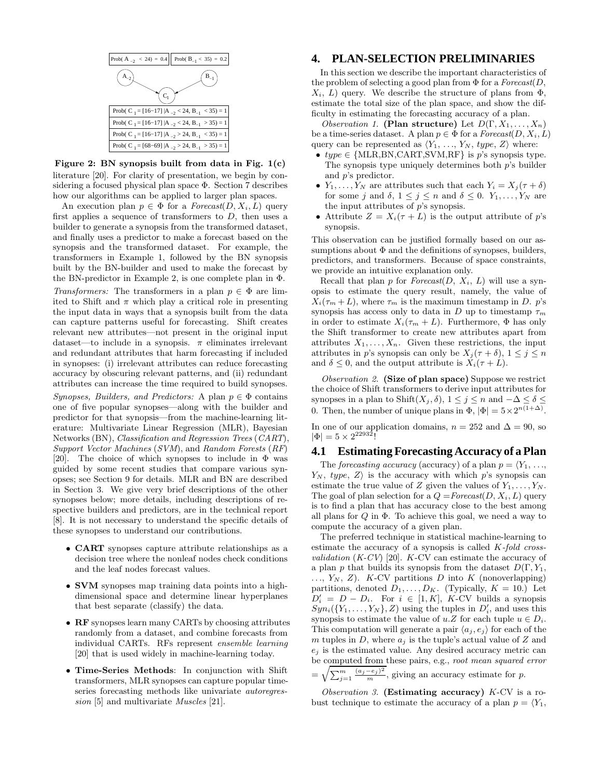

Figure 2: BN synopsis built from data in Fig.  $1(c)$ literature [20]. For clarity of presentation, we begin by considering a focused physical plan space Φ. Section 7 describes how our algorithms can be applied to larger plan spaces.

An execution plan  $p \in \Phi$  for a  $\text{For} \text{east}(D, X_i, L)$  query first applies a sequence of transformers to  $D$ , then uses a builder to generate a synopsis from the transformed dataset, and finally uses a predictor to make a forecast based on the synopsis and the transformed dataset. For example, the transformers in Example 1, followed by the BN synopsis built by the BN-builder and used to make the forecast by the BN-predictor in Example 2, is one complete plan in Φ.

Transformers: The transformers in a plan  $p \in \Phi$  are limited to Shift and  $\pi$  which play a critical role in presenting the input data in ways that a synopsis built from the data can capture patterns useful for forecasting. Shift creates relevant new attributes—not present in the original input dataset—to include in a synopsis.  $\pi$  eliminates irrelevant and redundant attributes that harm forecasting if included in synopses: (i) irrelevant attributes can reduce forecasting accuracy by obscuring relevant patterns, and (ii) redundant attributes can increase the time required to build synopses.

Synopses, Builders, and Predictors: A plan  $p \in \Phi$  contains one of five popular synopses—along with the builder and predictor for that synopsis—from the machine-learning literature: Multivariate Linear Regression (MLR), Bayesian Networks (BN), Classification and Regression Trees (CART), Support Vector Machines (SVM), and Random Forests (RF) [20]. The choice of which synopses to include in  $\Phi$  was guided by some recent studies that compare various synopses; see Section 9 for details. MLR and BN are described in Section 3. We give very brief descriptions of the other synopses below; more details, including descriptions of respective builders and predictors, are in the technical report [8]. It is not necessary to understand the specific details of these synopses to understand our contributions.

- CART synopses capture attribute relationships as a decision tree where the nonleaf nodes check conditions and the leaf nodes forecast values.
- SVM synopses map training data points into a highdimensional space and determine linear hyperplanes that best separate (classify) the data.
- RF synopses learn many CARTs by choosing attributes randomly from a dataset, and combine forecasts from individual CARTs. RFs represent ensemble learning [20] that is used widely in machine-learning today.
- Time-Series Methods: In conjunction with Shift transformers, MLR synopses can capture popular timeseries forecasting methods like univariate autoregression [5] and multivariate *Muscles* [21].

## **4. PLAN-SELECTION PRELIMINARIES**

In this section we describe the important characteristics of the problem of selecting a good plan from  $\Phi$  for a *Forecast*( $D$ ,  $X_i, L$  query. We describe the structure of plans from  $\Phi$ , estimate the total size of the plan space, and show the difficulty in estimating the forecasting accuracy of a plan.

*Observation 1.* (Plan structure) Let  $D(\Gamma, X_1, \ldots, X_n)$ be a time-series dataset. A plan  $p \in \Phi$  for a  $\text{For} \text{east}(D, X_i, L)$ query can be represented as  $\langle Y_1, \ldots, Y_N, \text{type}, Z \rangle$  where:

- $type \in \{MLR, BN, CART, SVM, RF\}$  is p's synopsis type. The synopsis type uniquely determines both p's builder and p's predictor.
- $Y_1, \ldots, Y_N$  are attributes such that each  $Y_i = X_j(\tau + \delta)$ for some j and  $\delta$ ,  $1 \leq j \leq n$  and  $\delta \leq 0$ .  $Y_1, \ldots, Y_N$  are the input attributes of  $p$ 's synopsis.
- Attribute  $Z = X_i(\tau + L)$  is the output attribute of p's synopsis.

This observation can be justified formally based on our assumptions about  $\Phi$  and the definitions of synopses, builders, predictors, and transformers. Because of space constraints, we provide an intuitive explanation only.

Recall that plan p for  $Forecast(D, X_i, L)$  will use a synopsis to estimate the query result, namely, the value of  $X_i(\tau_m + L)$ , where  $\tau_m$  is the maximum timestamp in D. p's synopsis has access only to data in D up to timestamp  $\tau_m$ in order to estimate  $X_i(\tau_m + L)$ . Furthermore,  $\Phi$  has only the Shift transformer to create new attributes apart from attributes  $X_1, \ldots, X_n$ . Given these restrictions, the input attributes in p's synopsis can only be  $X_i(\tau + \delta)$ ,  $1 \leq j \leq n$ and  $\delta \leq 0$ , and the output attribute is  $X_i(\tau + L)$ .

Observation 2. (Size of plan space) Suppose we restrict the choice of Shift transformers to derive input attributes for synopses in a plan to Shift( $X_j$ ,  $\delta$ ),  $1 \leq j \leq n$  and  $-\Delta \leq \delta \leq$ 0. Then, the number of unique plans in  $\Phi$ ,  $|\Phi| = 5 \times 2^{n(1+\Delta)}$ .

In one of our application domains,  $n = 252$  and  $\Delta = 90$ , so  $|\Phi| = 5 \times 2^{22932}!$ 

#### **4.1 Estimating Forecasting Accuracy of a Plan**

The forecasting accuracy (accuracy) of a plan  $p = \langle Y_1, \ldots, Y_n \rangle$  $Y_N$ , type,  $Z\rangle$  is the accuracy with which p's synopsis can estimate the true value of Z given the values of  $Y_1, \ldots, Y_N$ . The goal of plan selection for a  $Q = \text{Forecast}(D, X_i, L)$  query is to find a plan that has accuracy close to the best among all plans for  $Q$  in  $\Phi$ . To achieve this goal, we need a way to compute the accuracy of a given plan.

The preferred technique in statistical machine-learning to estimate the accuracy of a synopsis is called  $K$ -fold cross*validation*  $(K-CV)$  [20].  $K-CV$  can estimate the accuracy of a plan p that builds its synopsis from the dataset  $D(\Gamma, Y_1, Y_2)$  $..., Y_N, Z$ ). K-CV partitions D into K (nonoverlapping) partitions, denoted  $D_1, \ldots, D_K$ . (Typically,  $K = 10$ .) Let  $D_i' = D - D_i$ . For  $i \in [1, K]$ , K-CV builds a synopsis  $Syn_i(\lbrace Y_1,\ldots,Y_N\rbrace,Z)$  using the tuples in  $D'_i$ , and uses this synopsis to estimate the value of  $u.Z$  for each tuple  $u \in D_i$ . This computation will generate a pair  $\langle a_j, e_j \rangle$  for each of the m tuples in D, where  $a_i$  is the tuple's actual value of Z and  $e_i$  is the estimated value. Any desired accuracy metric can be computed from these pairs, e.g., root mean squared error

 $=\sqrt{\sum_{j=1}^{m} \frac{(a_j-e_j)^2}{m}}$ , giving an accuracy estimate for p.

Observation 3. (Estimating accuracy)  $K$ -CV is a robust technique to estimate the accuracy of a plan  $p = \langle Y_1, \rangle$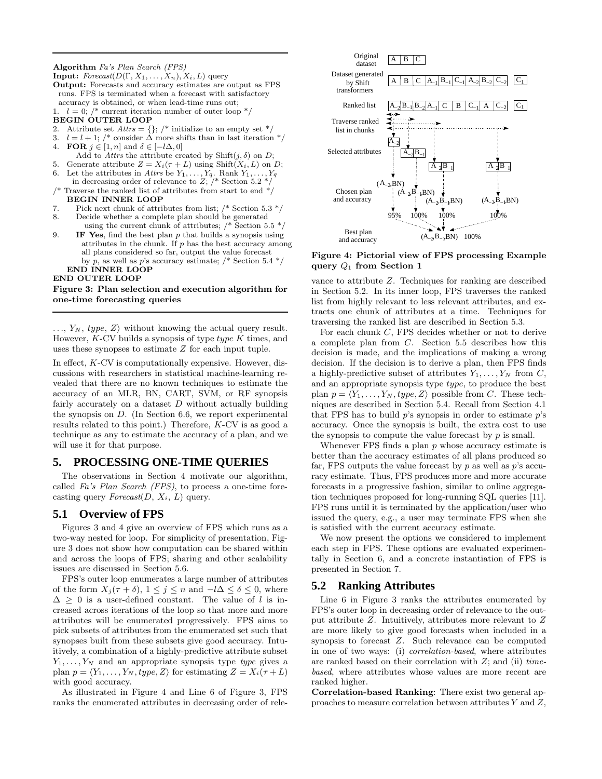#### Algorithm Fa's Plan Search (FPS)

- **Input:**  $\text{Forecast}(D(\Gamma, X_1, \ldots, X_n), X_i, L)$  query Output: Forecasts and accuracy estimates are output as FPS runs. FPS is terminated when a forecast with satisfactory accuracy is obtained, or when lead-time runs out;
- 1.  $l = 0$ ; /\* current iteration number of outer loop  $\sqrt[k]{ }$ BEGIN OUTER LOOP
- 
- 2. Attribute set  $Attrs = \{\};$  /\* initialize to an empty set \*/ 3.  $l = l + 1$ ; /\* consider  $\Delta$  more shifts than in last iteration \*/
- 4. **FOR**  $j \in [1, n]$  and  $\delta \in [-l\Delta, 0]$
- Add to Attrs the attribute created by Shift $(j, \delta)$  on D;
- 5. Generate attribute  $Z = X_i(\tau + L)$  using Shift $(X_i, L)$  on D;
- 6. Let the attributes in Attrs be  $Y_1, \ldots, Y_q$ . Rank  $Y_1, \ldots, Y_q$ in decreasing order of relevance to  $Z$ ;  $/*$  Section 5.2  $*/$
- Traverse the ranked list of attributes from start to end  $^{\ast}/$ BEGIN INNER LOOP
- 7. Pick next chunk of attributes from list;  $/*$  Section 5.3  $*/$
- 8. Decide whether a complete plan should be generated using the current chunk of attributes;  $/*$  Section 5.5  $*/$
- 9. **IF Yes**, find the best plan  $p$  that builds a synopsis using attributes in the chunk. If  $p$  has the best accuracy among all plans considered so far, output the value forecast by p, as well as p's accuracy estimate;  $/*$  Section 5.4  $*/$ END INNER LOOP

# END OUTER LOOP

#### Figure 3: Plan selection and execution algorithm for one-time forecasting queries

 $..., Y_N, type, Z\rangle$  without knowing the actual query result. However,  $K$ -CV builds a synopsis of type  $type$  K times, and uses these synopses to estimate Z for each input tuple.

In effect,  $K$ -CV is computationally expensive. However, discussions with researchers in statistical machine-learning revealed that there are no known techniques to estimate the accuracy of an MLR, BN, CART, SVM, or RF synopsis fairly accurately on a dataset  $D$  without actually building the synopsis on D. (In Section 6.6, we report experimental results related to this point.) Therefore, K-CV is as good a technique as any to estimate the accuracy of a plan, and we will use it for that purpose.

# **5. PROCESSING ONE-TIME QUERIES**

The observations in Section 4 motivate our algorithm, called Fa's Plan Search (FPS), to process a one-time forecasting query  $\textit{Forecast}(D, X_i, L)$  query.

# **5.1 Overview of FPS**

Figures 3 and 4 give an overview of FPS which runs as a two-way nested for loop. For simplicity of presentation, Figure 3 does not show how computation can be shared within and across the loops of FPS; sharing and other scalability issues are discussed in Section 5.6.

FPS's outer loop enumerates a large number of attributes of the form  $X_j(\tau + \delta)$ ,  $1 \leq j \leq n$  and  $-l\Delta \leq \delta \leq 0$ , where  $\Delta \geq 0$  is a user-defined constant. The value of l is increased across iterations of the loop so that more and more attributes will be enumerated progressively. FPS aims to pick subsets of attributes from the enumerated set such that synopses built from these subsets give good accuracy. Intuitively, a combination of a highly-predictive attribute subset  $Y_1, \ldots, Y_N$  and an appropriate synopsis type *type* gives a plan  $p = \langle Y_1, \ldots, Y_N, type, Z \rangle$  for estimating  $Z = X_i(\tau + L)$ with good accuracy.

As illustrated in Figure 4 and Line 6 of Figure 3, FPS ranks the enumerated attributes in decreasing order of rele-



Figure 4: Pictorial view of FPS processing Example query  $Q_1$  from Section 1

vance to attribute Z. Techniques for ranking are described in Section 5.2. In its inner loop, FPS traverses the ranked list from highly relevant to less relevant attributes, and extracts one chunk of attributes at a time. Techniques for traversing the ranked list are described in Section 5.3.

For each chunk C, FPS decides whether or not to derive a complete plan from C. Section 5.5 describes how this decision is made, and the implications of making a wrong decision. If the decision is to derive a plan, then FPS finds a highly-predictive subset of attributes  $Y_1, \ldots, Y_N$  from C, and an appropriate synopsis type type, to produce the best plan  $p = \langle Y_1, \ldots, Y_N, type, Z \rangle$  possible from C. These techniques are described in Section 5.4. Recall from Section 4.1 that FPS has to build  $p$ 's synopsis in order to estimate  $p$ 's accuracy. Once the synopsis is built, the extra cost to use the synopsis to compute the value forecast by  $p$  is small.

Whenever FPS finds a plan  $p$  whose accuracy estimate is better than the accuracy estimates of all plans produced so far, FPS outputs the value forecast by  $p$  as well as  $p$ 's accuracy estimate. Thus, FPS produces more and more accurate forecasts in a progressive fashion, similar to online aggregation techniques proposed for long-running SQL queries [11]. FPS runs until it is terminated by the application/user who issued the query, e.g., a user may terminate FPS when she is satisfied with the current accuracy estimate.

We now present the options we considered to implement each step in FPS. These options are evaluated experimentally in Section 6, and a concrete instantiation of FPS is presented in Section 7.

# **5.2 Ranking Attributes**

Line 6 in Figure 3 ranks the attributes enumerated by FPS's outer loop in decreasing order of relevance to the output attribute Z. Intuitively, attributes more relevant to Z are more likely to give good forecasts when included in a synopsis to forecast Z. Such relevance can be computed in one of two ways: (i) correlation-based, where attributes are ranked based on their correlation with  $Z$ ; and (ii)  $time$ based, where attributes whose values are more recent are ranked higher.

Correlation-based Ranking: There exist two general approaches to measure correlation between attributes  $Y$  and  $Z$ ,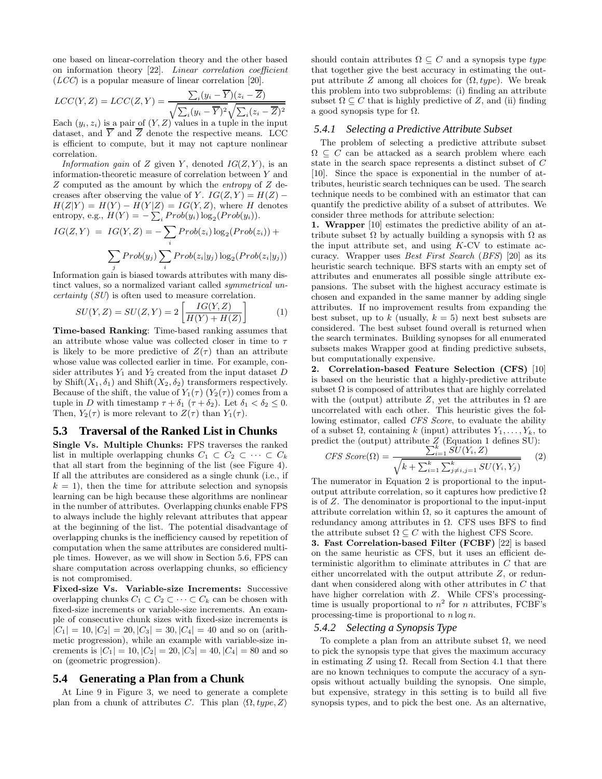one based on linear-correlation theory and the other based on information theory [22]. Linear correlation coefficient (LCC) is a popular measure of linear correlation [20].

$$
LCC(Y, Z) = LCC(Z, Y) = \frac{\sum_{i}(y_i - \overline{Y})(z_i - \overline{Z})}{\sqrt{\sum_{i}(y_i - \overline{Y})^2}\sqrt{\sum_{i}(z_i - \overline{Z})^2}}
$$
  
Each  $(y_i, z_i)$  is a pair of  $(Y, Z)$  values in a tuple in the input

dataset, and  $\overline{Y}$  and  $\overline{Z}$  denote the respective means. LCC is efficient to compute, but it may not capture nonlinear correlation.

Information gain of Z given Y, denoted  $IG(Z, Y)$ , is an information-theoretic measure of correlation between Y and Z computed as the amount by which the entropy of Z decreases after observing the value of Y.  $IG(Z, Y) = H(Z)$  –  $H(Z|Y) = H(Y) - H(Y|Z) = IG(Y, Z)$ , where H denotes entropy, e.g.,  $H(Y) = -\sum_i Prob(y_i) \log_2(Prob(y_i)).$ 

$$
IG(Z, Y) = IG(Y, Z) = -\sum_{i} Prob(z_i) \log_2(Prob(z_i)) + \sum_{j} Prob(y_j) \sum_{i} Prob(z_i|y_j) \log_2(Prob(z_i|y_j))
$$

Information gain is biased towards attributes with many distinct values, so a normalized variant called *symmetrical un*certainty (SU) is often used to measure correlation.

$$
SU(Y,Z) = SU(Z,Y) = 2\left[\frac{IG(Y,Z)}{H(Y) + H(Z)}\right]
$$
 (1)

Time-based Ranking: Time-based ranking assumes that an attribute whose value was collected closer in time to  $\tau$ is likely to be more predictive of  $Z(\tau)$  than an attribute whose value was collected earlier in time. For example, consider attributes  $Y_1$  and  $Y_2$  created from the input dataset  $D$ by Shift( $X_1, \delta_1$ ) and Shift( $X_2, \delta_2$ ) transformers respectively. Because of the shift, the value of  $Y_1(\tau)$  ( $Y_2(\tau)$ ) comes from a tuple in D with timestamp  $\tau + \delta_1$  ( $\tau + \delta_2$ ). Let  $\delta_1 < \delta_2 \leq 0$ . Then,  $Y_2(\tau)$  is more relevant to  $Z(\tau)$  than  $Y_1(\tau)$ .

# **5.3 Traversal of the Ranked List in Chunks**

Single Vs. Multiple Chunks: FPS traverses the ranked list in multiple overlapping chunks  $C_1 \subset C_2 \subset \cdots \subset C_k$ that all start from the beginning of the list (see Figure 4). If all the attributes are considered as a single chunk (i.e., if  $k = 1$ , then the time for attribute selection and synopsis learning can be high because these algorithms are nonlinear in the number of attributes. Overlapping chunks enable FPS to always include the highly relevant attributes that appear at the beginning of the list. The potential disadvantage of overlapping chunks is the inefficiency caused by repetition of computation when the same attributes are considered multiple times. However, as we will show in Section 5.6, FPS can share computation across overlapping chunks, so efficiency is not compromised.

Fixed-size Vs. Variable-size Increments: Successive overlapping chunks  $C_1 \subset C_2 \subset \cdots \subset C_k$  can be chosen with fixed-size increments or variable-size increments. An example of consecutive chunk sizes with fixed-size increments is  $|C_1| = 10, |C_2| = 20, |C_3| = 30, |C_4| = 40$  and so on (arithmetic progression), while an example with variable-size increments is  $|C_1| = 10$ ,  $|C_2| = 20$ ,  $|C_3| = 40$ ,  $|C_4| = 80$  and so on (geometric progression).

#### **5.4 Generating a Plan from a Chunk**

At Line 9 in Figure 3, we need to generate a complete plan from a chunk of attributes C. This plan  $\langle \Omega, type, Z \rangle$ 

should contain attributes  $\Omega \subseteq C$  and a synopsis type type that together give the best accuracy in estimating the output attribute Z among all choices for  $(\Omega, type)$ . We break this problem into two subproblems: (i) finding an attribute subset  $\Omega \subseteq C$  that is highly predictive of Z, and (ii) finding a good synopsis type for  $\Omega$ .

#### *5.4.1 Selecting a Predictive Attribute Subset*

The problem of selecting a predictive attribute subset  $\Omega \subseteq C$  can be attacked as a search problem where each state in the search space represents a distinct subset of C [10]. Since the space is exponential in the number of attributes, heuristic search techniques can be used. The search technique needs to be combined with an estimator that can quantify the predictive ability of a subset of attributes. We consider three methods for attribute selection:

1. Wrapper [10] estimates the predictive ability of an attribute subset  $\Omega$  by actually building a synopsis with  $\Omega$  as the input attribute set, and using  $K$ -CV to estimate accuracy. Wrapper uses Best First Search (BFS) [20] as its heuristic search technique. BFS starts with an empty set of attributes and enumerates all possible single attribute expansions. The subset with the highest accuracy estimate is chosen and expanded in the same manner by adding single attributes. If no improvement results from expanding the best subset, up to k (usually,  $k = 5$ ) next best subsets are considered. The best subset found overall is returned when the search terminates. Building synopses for all enumerated subsets makes Wrapper good at finding predictive subsets, but computationally expensive.

2. Correlation-based Feature Selection (CFS) [10] is based on the heuristic that a highly-predictive attribute subset  $\Omega$  is composed of attributes that are highly correlated with the (output) attribute Z, yet the attributes in  $\Omega$  are uncorrelated with each other. This heuristic gives the following estimator, called CFS Score, to evaluate the ability of a subset  $\Omega$ , containing k (input) attributes  $Y_1, \ldots, Y_k$ , to predict the (output) attribute  $Z$  (Equation 1 defines SU):<br>  $G_{\text{EQ}}(Q) = \sum_{i=1}^{k} SU(Y_i, Z)$ 

$$
CFS \ Score(\Omega) = \frac{\sum_{i=1}^{k} SU(Y_i, Z)}{\sqrt{k + \sum_{i=1}^{k} \sum_{j \neq i, j=1}^{k} SU(Y_i, Y_j)}} \tag{2}
$$

The numerator in Equation 2 is proportional to the inputoutput attribute correlation, so it captures how predictive  $\Omega$ is of Z. The denominator is proportional to the input-input attribute correlation within  $\Omega$ , so it captures the amount of redundancy among attributes in  $\Omega$ . CFS uses BFS to find the attribute subset  $\Omega \subseteq C$  with the highest CFS Score.

3. Fast Correlation-based Filter (FCBF) [22] is based on the same heuristic as CFS, but it uses an efficient deterministic algorithm to eliminate attributes in C that are either uncorrelated with the output attribute Z, or redundant when considered along with other attributes in C that have higher correlation with Z. While CFS's processingtime is usually proportional to  $n^2$  for n attributes, FCBF's processing-time is proportional to  $n \log n$ .

#### *5.4.2 Selecting a Synopsis Type*

To complete a plan from an attribute subset  $\Omega$ , we need to pick the synopsis type that gives the maximum accuracy in estimating Z using  $\Omega$ . Recall from Section 4.1 that there are no known techniques to compute the accuracy of a synopsis without actually building the synopsis. One simple, but expensive, strategy in this setting is to build all five synopsis types, and to pick the best one. As an alternative,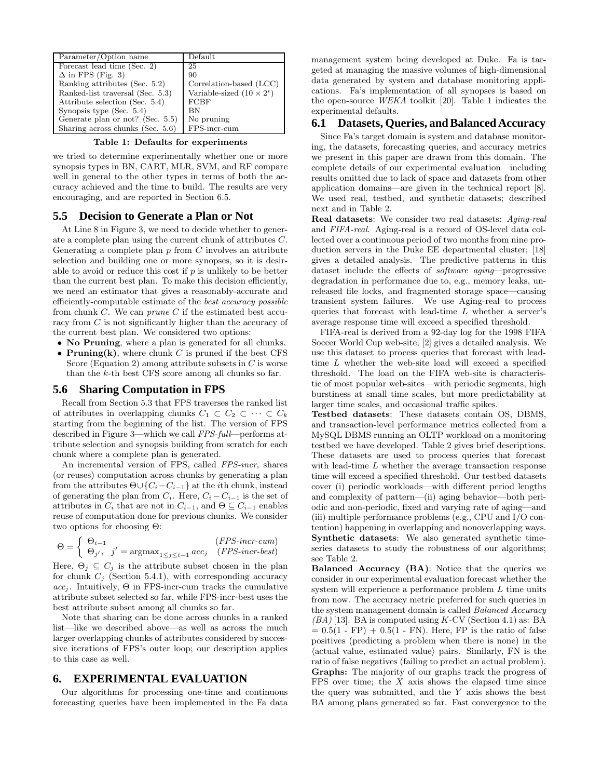| Parameter/Option name            | Default                          |
|----------------------------------|----------------------------------|
| Forecast lead time (Sec. 2)      | 25                               |
| $\Delta$ in FPS (Fig. 3)         | 90                               |
| Ranking attributes (Sec. 5.2)    | Correlation-based (LCC)          |
| Ranked-list traversal (Sec. 5.3) | Variable-sized $(10 \times 2^i)$ |
| Attribute selection (Sec. 5.4)   | FCBF                             |
| Synopsis type $(Sec. 5.4)$       | <b>BN</b>                        |
| Generate plan or not? (Sec. 5.5) | No pruning                       |
| Sharing across chunks (Sec. 5.6) | FPS-incr-cum                     |

Table 1: Defaults for experiments

we tried to determine experimentally whether one or more synopsis types in BN, CART, MLR, SVM, and RF compare well in general to the other types in terms of both the accuracy achieved and the time to build. The results are very encouraging, and are reported in Section 6.5.

## **5.5 Decision to Generate a Plan or Not**

At Line 8 in Figure 3, we need to decide whether to generate a complete plan using the current chunk of attributes C. Generating a complete plan  $p$  from  $C$  involves an attribute selection and building one or more synopses, so it is desirable to avoid or reduce this cost if  $p$  is unlikely to be better than the current best plan. To make this decision efficiently, we need an estimator that gives a reasonably-accurate and efficiently-computable estimate of the best accuracy possible from chunk  $C$ . We can *prune*  $C$  if the estimated best accuracy from C is not significantly higher than the accuracy of the current best plan. We considered two options:

- No Pruning, where a plan is generated for all chunks.
- Pruning(k), where chunk C is pruned if the best CFS Score (Equation 2) among attribute subsets in  $C$  is worse than the  $k$ -th best CFS score among all chunks so far.

## **5.6 Sharing Computation in FPS**

Recall from Section 5.3 that FPS traverses the ranked list of attributes in overlapping chunks  $C_1 \subset C_2 \subset \cdots \subset C_k$ starting from the beginning of the list. The version of FPS described in Figure 3—which we call FPS-full—performs attribute selection and synopsis building from scratch for each chunk where a complete plan is generated.

An incremental version of FPS, called FPS-incr, shares (or reuses) computation across chunks by generating a plan from the attributes  $\Theta \cup \{C_i - C_{i-1}\}\$ at the *i*th chunk, instead of generating the plan from  $C_i$ . Here,  $C_i - C_{i-1}$  is the set of attributes in  $C_i$  that are not in  $C_{i-1}$ , and  $\Theta \subseteq C_{i-1}$  enables reuse of computation done for previous chunks. We consider two options for choosing Θ:

$$
\Theta = \begin{cases} \Theta_{i-1} & (FPS\text{-}incr\text{-}cum) \\ \Theta_{j'}, & j' = \text{argmax}_{1 \le j \le i-1} acc_j & (FPS\text{-}incr\text{-}best) \end{cases}
$$

Here,  $\Theta_j \subseteq C_j$  is the attribute subset chosen in the plan for chunk  $C_j$  (Section 5.4.1), with corresponding accuracy  $acc_i$ . Intuitively,  $\Theta$  in FPS-incr-cum tracks the cumulative attribute subset selected so far, while FPS-incr-best uses the best attribute subset among all chunks so far.

Note that sharing can be done across chunks in a ranked list—like we described above—as well as across the much larger overlapping chunks of attributes considered by successive iterations of FPS's outer loop; our description applies to this case as well.

## **6. EXPERIMENTAL EVALUATION**

Our algorithms for processing one-time and continuous forecasting queries have been implemented in the Fa data management system being developed at Duke. Fa is targeted at managing the massive volumes of high-dimensional data generated by system and database monitoring applications. Fa's implementation of all synopses is based on the open-source WEKA toolkit [20]. Table 1 indicates the experimental defaults.

#### **6.1 Datasets, Queries, andBalanced Accuracy**

Since Fa's target domain is system and database monitoring, the datasets, forecasting queries, and accuracy metrics we present in this paper are drawn from this domain. The complete details of our experimental evaluation—including results omitted due to lack of space and datasets from other application domains—are given in the technical report [8]. We used real, testbed, and synthetic datasets; described next and in Table 2.

Real datasets: We consider two real datasets: Aging-real and FIFA-real. Aging-real is a record of OS-level data collected over a continuous period of two months from nine production servers in the Duke EE departmental cluster; [18] gives a detailed analysis. The predictive patterns in this dataset include the effects of software aging—progressive degradation in performance due to, e.g., memory leaks, unreleased file locks, and fragmented storage space—causing transient system failures. We use Aging-real to process queries that forecast with lead-time L whether a server's average response time will exceed a specified threshold.

FIFA-real is derived from a 92-day log for the 1998 FIFA Soccer World Cup web-site; [2] gives a detailed analysis. We use this dataset to process queries that forecast with leadtime L whether the web-site load will exceed a specified threshold. The load on the FIFA web-site is characteristic of most popular web-sites—with periodic segments, high burstiness at small time scales, but more predictability at larger time scales, and occasional traffic spikes.

Testbed datasets: These datasets contain OS, DBMS, and transaction-level performance metrics collected from a MySQL DBMS running an OLTP workload on a monitoring testbed we have developed. Table 2 gives brief descriptions. These datasets are used to process queries that forecast with lead-time L whether the average transaction response time will exceed a specified threshold. Our testbed datasets cover (i) periodic workloads—with different period lengths and complexity of pattern—(ii) aging behavior—both periodic and non-periodic, fixed and varying rate of aging—and (iii) multiple performance problems (e.g., CPU and I/O contention) happening in overlapping and nonoverlapping ways. Synthetic datasets: We also generated synthetic timeseries datasets to study the robustness of our algorithms; see Table 2.

Balanced Accuracy (BA): Notice that the queries we consider in our experimental evaluation forecast whether the system will experience a performance problem L time units from now. The accuracy metric preferred for such queries in the system management domain is called Balanced Accuracy  $(BA)$  [13]. BA is computed using K-CV (Section 4.1) as: BA  $= 0.5(1 - FP) + 0.5(1 - FN)$ . Here, FP is the ratio of false positives (predicting a problem when there is none) in the  $\langle$  actual value, estimated value $\rangle$  pairs. Similarly, FN is the ratio of false negatives (failing to predict an actual problem). Graphs: The majority of our graphs track the progress of FPS over time; the  $X$  axis shows the elapsed time since the query was submitted, and the  $Y$  axis shows the best BA among plans generated so far. Fast convergence to the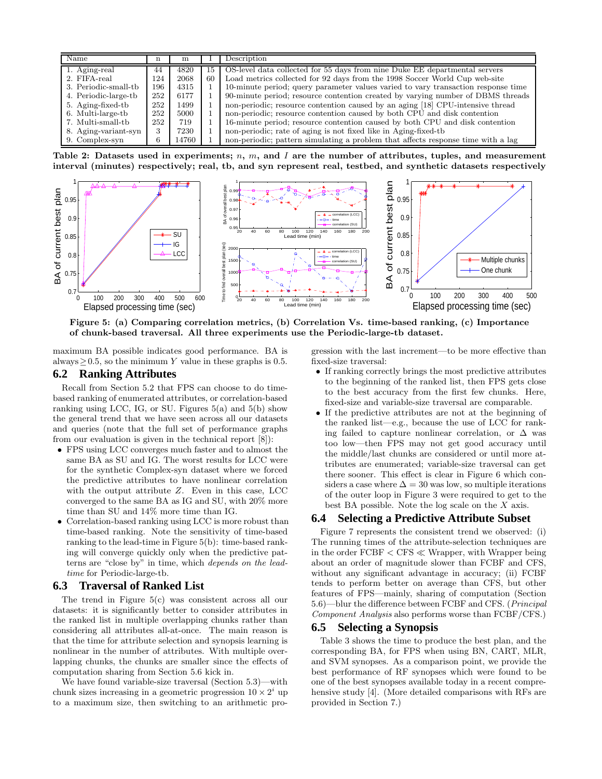| Name                 |     | m     |    | Description                                                                       |
|----------------------|-----|-------|----|-----------------------------------------------------------------------------------|
| 1. Aging-real        | 44  | 4820  | 15 | OS-level data collected for 55 days from nine Duke EE departmental servers        |
| 2. FIFA-real         | 124 | 2068  | 60 | Load metrics collected for 92 days from the 1998 Soccer World Cup web-site        |
| 3. Periodic-small-tb | 196 | 4315  |    | 10-minute period; query parameter values varied to vary transaction response time |
| 4. Periodic-large-tb | 252 | 6177  |    | 90-minute period; resource contention created by varying number of DBMS threads   |
| 5. Aging-fixed-tb    | 252 | 1499  |    | non-periodic; resource contention caused by an aging [18] CPU-intensive thread    |
| 6. Multi-large-tb    | 252 | 5000  |    | non-periodic; resource contention caused by both CPU and disk contention          |
| 7. Multi-small-tb    | 252 | 719   |    | 16-minute period; resource contention caused by both CPU and disk contention      |
| 8. Aging-variant-syn | 3   | 7230  |    | non-periodic; rate of aging is not fixed like in Aging-fixed-tb                   |
| 9. Complex-syn       | h   | 14760 |    | non-periodic; pattern simulating a problem that affects response time with a lag  |

Table 2: Datasets used in experiments; n, m, and I are the number of attributes, tuples, and measurement interval (minutes) respectively; real, tb, and syn represent real, testbed, and synthetic datasets respectively



Figure 5: (a) Comparing correlation metrics, (b) Correlation Vs. time-based ranking, (c) Importance of chunk-based traversal. All three experiments use the Periodic-large-tb dataset.

maximum BA possible indicates good performance. BA is always  $\geq$  0.5, so the minimum Y value in these graphs is 0.5.

## **6.2 Ranking Attributes**

Recall from Section 5.2 that FPS can choose to do timebased ranking of enumerated attributes, or correlation-based ranking using LCC, IG, or SU. Figures 5(a) and 5(b) show the general trend that we have seen across all our datasets and queries (note that the full set of performance graphs from our evaluation is given in the technical report [8]):

- FPS using LCC converges much faster and to almost the same BA as SU and IG. The worst results for LCC were for the synthetic Complex-syn dataset where we forced the predictive attributes to have nonlinear correlation with the output attribute  $Z$ . Even in this case, LCC converged to the same BA as IG and SU, with 20% more time than SU and 14% more time than IG.
- Correlation-based ranking using LCC is more robust than time-based ranking. Note the sensitivity of time-based ranking to the lead-time in Figure 5(b): time-based ranking will converge quickly only when the predictive patterns are "close by" in time, which depends on the leadtime for Periodic-large-tb.

#### **6.3 Traversal of Ranked List**

The trend in Figure 5(c) was consistent across all our datasets: it is significantly better to consider attributes in the ranked list in multiple overlapping chunks rather than considering all attributes all-at-once. The main reason is that the time for attribute selection and synopsis learning is nonlinear in the number of attributes. With multiple overlapping chunks, the chunks are smaller since the effects of computation sharing from Section 5.6 kick in.

We have found variable-size traversal (Section 5.3)—with chunk sizes increasing in a geometric progression  $10 \times 2^i$  up to a maximum size, then switching to an arithmetic pro-

gression with the last increment—to be more effective than fixed-size traversal:

- If ranking correctly brings the most predictive attributes to the beginning of the ranked list, then FPS gets close to the best accuracy from the first few chunks. Here, fixed-size and variable-size traversal are comparable.
- If the predictive attributes are not at the beginning of the ranked list—e.g., because the use of LCC for ranking failed to capture nonlinear correlation, or  $\Delta$  was too low—then FPS may not get good accuracy until the middle/last chunks are considered or until more attributes are enumerated; variable-size traversal can get there sooner. This effect is clear in Figure 6 which considers a case where  $\Delta = 30$  was low, so multiple iterations of the outer loop in Figure 3 were required to get to the best BA possible. Note the log scale on the X axis.

### **6.4 Selecting a Predictive Attribute Subset**

Figure 7 represents the consistent trend we observed: (i) The running times of the attribute-selection techniques are in the order  $FCBF < CFS \ll Wrapper$ , with Wrapper being about an order of magnitude slower than FCBF and CFS, without any significant advantage in accuracy; (ii) FCBF tends to perform better on average than CFS, but other features of FPS—mainly, sharing of computation (Section 5.6)—blur the difference between FCBF and CFS. (Principal Component Analysis also performs worse than FCBF/CFS.)

### **6.5 Selecting a Synopsis**

Table 3 shows the time to produce the best plan, and the corresponding BA, for FPS when using BN, CART, MLR, and SVM synopses. As a comparison point, we provide the best performance of RF synopses which were found to be one of the best synopses available today in a recent comprehensive study [4]. (More detailed comparisons with RFs are provided in Section 7.)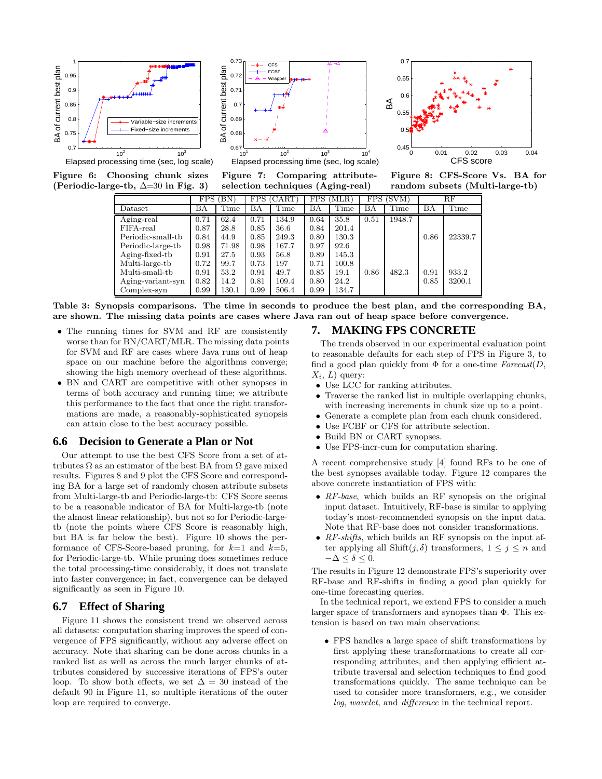

Figure 6: Choosing chunk sizes (Periodic-large-tb, ∆=30 in Fig. 3)





Figure 8: CFS-Score Vs. BA for random subsets (Multi-large-tb)

|                                                              | FPS. | ΈN)   | FPS. | (CART) | FPS. | 'MLR) |      | FPS (SVM) |      | $_{\rm RF}$ |
|--------------------------------------------------------------|------|-------|------|--------|------|-------|------|-----------|------|-------------|
| Dataset                                                      | ВA   | Time  | BA   | Time   | BA   | Time  | ΒA   | Time      | ΒA   | Time        |
| $\overline{\operatorname{Aging}\text{-}\operatorname{real}}$ | 0.71 | 62.4  | 0.71 | 134.9  | 0.64 | 35.8  | 0.51 | 1948.7    |      |             |
| FIFA-real                                                    | 0.87 | 28.8  | 0.85 | 36.6   | 0.84 | 201.4 |      |           |      |             |
| Periodic-small-tb                                            | 0.84 | 44.9  | 0.85 | 249.3  | 0.80 | 130.3 |      |           | 0.86 | 22339.7     |
| Periodic-large-tb                                            | 0.98 | 71.98 | 0.98 | 167.7  | 0.97 | 92.6  |      |           |      |             |
| Aging-fixed-tb                                               | 0.91 | 27.5  | 0.93 | 56.8   | 0.89 | 145.3 |      |           |      |             |
| Multi-large-tb                                               | 0.72 | 99.7  | 0.73 | 197    | 0.71 | 100.8 |      |           |      |             |
| Multi-small-tb                                               | 0.91 | 53.2  | 0.91 | 49.7   | 0.85 | 19.1  | 0.86 | 482.3     | 0.91 | 933.2       |
| Aging-variant-syn                                            | 0.82 | 14.2  | 0.81 | 109.4  | 0.80 | 24.2  |      |           | 0.85 | 3200.1      |
| Complex-syn                                                  | 0.99 | 130.1 | 0.99 | 506.4  | 0.99 | 134.7 |      |           |      |             |

Figure 7: Comparing attributeselection techniques (Aging-real)

Table 3: Synopsis comparisons. The time in seconds to produce the best plan, and the corresponding BA, are shown. The missing data points are cases where Java ran out of heap space before convergence.

- The running times for SVM and RF are consistently worse than for BN/CART/MLR. The missing data points for SVM and RF are cases where Java runs out of heap space on our machine before the algorithms converge; showing the high memory overhead of these algorithms.
- BN and CART are competitive with other synopses in terms of both accuracy and running time; we attribute this performance to the fact that once the right transformations are made, a reasonably-sophisticated synopsis can attain close to the best accuracy possible.

## **6.6 Decision to Generate a Plan or Not**

Our attempt to use the best CFS Score from a set of attributes  $\Omega$  as an estimator of the best BA from  $\Omega$  gave mixed results. Figures 8 and 9 plot the CFS Score and corresponding BA for a large set of randomly chosen attribute subsets from Multi-large-tb and Periodic-large-tb: CFS Score seems to be a reasonable indicator of BA for Multi-large-tb (note the almost linear relationship), but not so for Periodic-largetb (note the points where CFS Score is reasonably high, but BA is far below the best). Figure 10 shows the performance of CFS-Score-based pruning, for  $k=1$  and  $k=5$ , for Periodic-large-tb. While pruning does sometimes reduce the total processing-time considerably, it does not translate into faster convergence; in fact, convergence can be delayed significantly as seen in Figure 10.

#### **6.7 Effect of Sharing**

Figure 11 shows the consistent trend we observed across all datasets: computation sharing improves the speed of convergence of FPS significantly, without any adverse effect on accuracy. Note that sharing can be done across chunks in a ranked list as well as across the much larger chunks of attributes considered by successive iterations of FPS's outer loop. To show both effects, we set  $\Delta = 30$  instead of the default 90 in Figure 11, so multiple iterations of the outer loop are required to converge.

#### **7. MAKING FPS CONCRETE**

0.7

The trends observed in our experimental evaluation point to reasonable defaults for each step of FPS in Figure 3, to find a good plan quickly from  $\Phi$  for a one-time Forecast(D,  $X_i, L$ ) query:

- Use LCC for ranking attributes.
- Traverse the ranked list in multiple overlapping chunks, with increasing increments in chunk size up to a point.
- Generate a complete plan from each chunk considered.
- Use FCBF or CFS for attribute selection.
- Build BN or CART synopses.
- Use FPS-incr-cum for computation sharing.

A recent comprehensive study [4] found RFs to be one of the best synopses available today. Figure 12 compares the above concrete instantiation of FPS with:

- RF-base, which builds an RF synopsis on the original input dataset. Intuitively, RF-base is similar to applying today's most-recommended synopsis on the input data. Note that RF-base does not consider transformations.
- RF-shifts, which builds an RF synopsis on the input after applying all  $\text{Shift}(j, \delta)$  transformers,  $1 \leq j \leq n$  and  $-\Delta \leq \delta \leq 0.$

The results in Figure 12 demonstrate FPS's superiority over RF-base and RF-shifts in finding a good plan quickly for one-time forecasting queries.

In the technical report, we extend FPS to consider a much larger space of transformers and synopses than Φ. This extension is based on two main observations:

• FPS handles a large space of shift transformations by first applying these transformations to create all corresponding attributes, and then applying efficient attribute traversal and selection techniques to find good transformations quickly. The same technique can be used to consider more transformers, e.g., we consider log, wavelet, and difference in the technical report.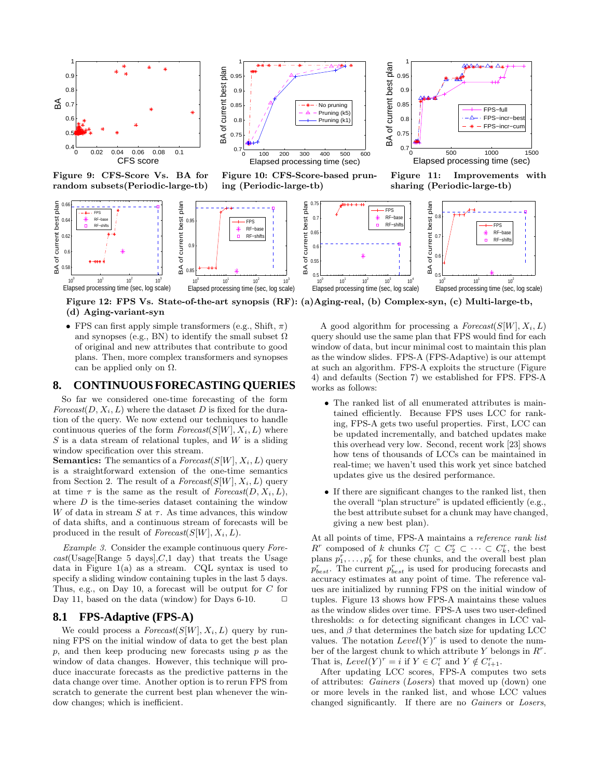

Figure 9: CFS-Score Vs. BA for random subsets(Periodic-large-tb)



Figure 10: CFS-Score-based pruning (Periodic-large-tb)



Figure 11: Improvements with sharing (Periodic-large-tb)



Figure 12: FPS Vs. State-of-the-art synopsis (RF): (a)Aging-real, (b) Complex-syn, (c) Multi-large-tb, (d) Aging-variant-syn

• FPS can first apply simple transformers (e.g., Shift,  $\pi$ ) and synopses (e.g., BN) to identify the small subset  $\Omega$ of original and new attributes that contribute to good plans. Then, more complex transformers and synopses can be applied only on  $\Omega$ .

### **8. CONTINUOUSFORECASTINGQUERIES**

So far we considered one-time forecasting of the form Forecast(D,  $X_i, L$ ) where the dataset D is fixed for the duration of the query. We now extend our techniques to handle continuous queries of the form  $Forecast(S[W], X_i, L)$  where  $S$  is a data stream of relational tuples, and  $W$  is a sliding window specification over this stream.

**Semantics:** The semantics of a  $Forecast(S[W], X_i, L)$  query is a straightforward extension of the one-time semantics from Section 2. The result of a  $Forecast(S[W], X_i, L)$  query at time  $\tau$  is the same as the result of *Forecast*( $D, X_i, L$ ), where  $D$  is the time-series dataset containing the window W of data in stream  $S$  at  $\tau$ . As time advances, this window of data shifts, and a continuous stream of forecasts will be produced in the result of  $Forecast(S[W], X_i, L)$ .

Example 3. Consider the example continuous query Fore $cast(Usage[Range 5 days], C, 1 day)$  that treats the Usage data in Figure 1(a) as a stream. CQL syntax is used to specify a sliding window containing tuples in the last 5 days. Thus, e.g., on Day 10, a forecast will be output for C for Day 11, based on the data (window) for Days 6-10.  $\Box$ 

# **8.1 FPS-Adaptive (FPS-A)**

We could process a  $\textit{Forecast}(S[W], X_i, L)$  query by running FPS on the initial window of data to get the best plan  $p$ , and then keep producing new forecasts using  $p$  as the window of data changes. However, this technique will produce inaccurate forecasts as the predictive patterns in the data change over time. Another option is to rerun FPS from scratch to generate the current best plan whenever the window changes; which is inefficient.

A good algorithm for processing a  $Forecast(S[W], X_i, L)$ query should use the same plan that FPS would find for each window of data, but incur minimal cost to maintain this plan as the window slides. FPS-A (FPS-Adaptive) is our attempt at such an algorithm. FPS-A exploits the structure (Figure 4) and defaults (Section 7) we established for FPS. FPS-A works as follows:

- The ranked list of all enumerated attributes is maintained efficiently. Because FPS uses LCC for ranking, FPS-A gets two useful properties. First, LCC can be updated incrementally, and batched updates make this overhead very low. Second, recent work [23] shows how tens of thousands of LCCs can be maintained in real-time; we haven't used this work yet since batched updates give us the desired performance.
- If there are significant changes to the ranked list, then the overall "plan structure" is updated efficiently (e.g., the best attribute subset for a chunk may have changed, giving a new best plan).

At all points of time, FPS-A maintains a reference rank list  $R^r$  composed of k chunks  $C_1^r \subset C_2^r \subset \cdots \subset C_k^r$ , the best plans  $p_1^r, \ldots, p_k^r$  for these chunks, and the overall best plan  $p_{best}^r$ . The current  $p_{best}^r$  is used for producing forecasts and accuracy estimates at any point of time. The reference values are initialized by running FPS on the initial window of tuples. Figure 13 shows how FPS-A maintains these values as the window slides over time. FPS-A uses two user-defined thresholds:  $\alpha$  for detecting significant changes in LCC values, and  $\beta$  that determines the batch size for updating LCC values. The notation  $Level(Y)^r$  is used to denote the number of the largest chunk to which attribute Y belongs in  $R^r$ . That is,  $Level(Y)^r = i$  if  $Y \in C_i^r$  and  $Y \notin C_{i+1}^r$ .

After updating LCC scores, FPS-A computes two sets of attributes: Gainers (Losers) that moved up (down) one or more levels in the ranked list, and whose LCC values changed significantly. If there are no Gainers or Losers,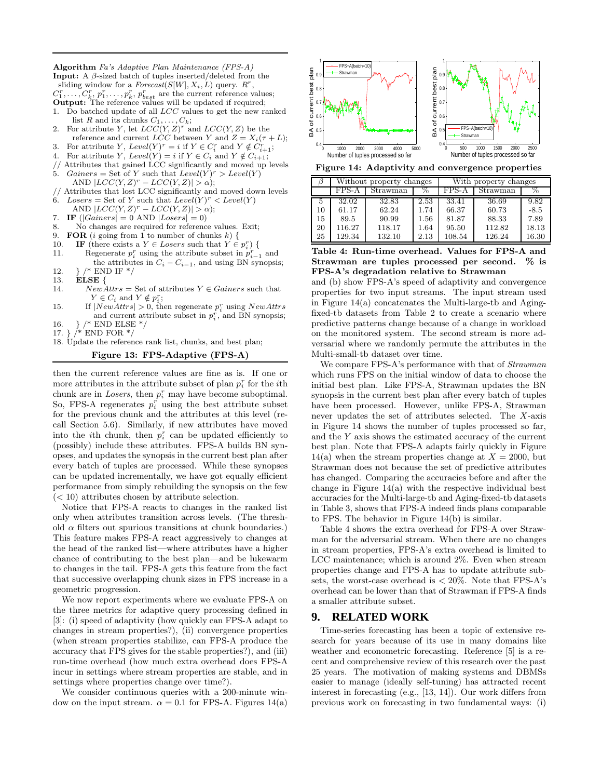**Input:** A  $\beta$ -sized batch of tuples inserted/deleted from the sliding window for a  $Forecast(S[W], X_i, L)$  query.  $R^r$ ,  $C_1^r, \ldots, C_k^r, p_1^r, \ldots, p_k^r, p_{best}^r$  are the current reference values; Output: The reference values will be updated if required; 1. Do batched update of all LCC values to get the new ranked list R and its chunks  $C_1, \ldots, C_k$ ; 2. For attribute Y, let  $LCC(Y, Z)^r$  and  $LCC(Y, Z)$  be the reference and current  $\overline{LCC}$  between Y and  $\overline{Z} = X_i(\tau + L);$ 3. For attribute Y,  $Level(Y)^r = i$  if  $Y \in C_i^r$  and  $Y \notin C_{i+1}^r$ ; 4. For attribute Y,  $Level(Y) = i$  if  $Y \in C_i$  and  $Y \notin C_{i+1}$ ; Attributes that gained LCC significantly and moved up levels 5. Gainers = Set of Y such that  $Level(Y)^r > Level(Y)$ AND  $|LCC(Y, Z)^{r} - LCC(Y, Z)| > \alpha$ );

Algorithm Fa's Adaptive Plan Maintenance (FPS-A)

- // Attributes that lost LCC significantly and moved down levels 6. Losers = Set of Y such that  $Level(Y)^r < Level(Y)$
- AND  $|LCC(Y, Z)^{r} LCC(Y, Z)| > \alpha$ ;
- 7. IF  $(|Gainers| = 0$  AND  $|Loss| = 0$ )
- 8. No changes are required for reference values. Exit;
- 9. FOR (*i* going from 1 to number of chunks *k*) {<br>10. IF (there exists a  $Y \in Lossers$  such that  $Y \in$
- 10. **IF** (there exists a  $Y \in Lossers$  such that  $Y \in p_i^r$ ) {
- 11. Regenerate  $p_i^r$  using the attribute subset in  $p_{i-1}^r$  and the attributes in  $C_i - C_{i-1}$ , and using BN synopsis; 12.  $}/*$  END IF  $*/$ <br>13. **ELSE** {
- $ELSE$  {
- 14. NewAttrs = Set of attributes  $Y \in \mathit{Gainers}$  such that  $Y \in C_i$  and  $Y \notin p_i^r$ ;
- 15. If  $|NewAttrs| > 0$ , then regenerate  $p_i^r$  using  $NewAttrs$ and current attribute subset in  $p_i^r$ , and BN synopsis;
- 16. } /\* END ELSE \*/<br>17. } /\* END FOR \*/
- $A^*$ END FOR  $^*/$
- 18. Update the reference rank list, chunks, and best plan;

#### Figure 13: FPS-Adaptive (FPS-A)

then the current reference values are fine as is. If one or more attributes in the attribute subset of plan  $p_i^r$  for the *i*<sup>th</sup> chunk are in Losers, then  $p_i^r$  may have become suboptimal. So, FPS-A regenerates  $p_i^r$  using the best attribute subset for the previous chunk and the attributes at this level (recall Section 5.6). Similarly, if new attributes have moved into the *i*th chunk, then  $p_i^r$  can be updated efficiently to (possibly) include these attributes. FPS-A builds BN synopses, and updates the synopsis in the current best plan after every batch of tuples are processed. While these synopses can be updated incrementally, we have got equally efficient performance from simply rebuilding the synopsis on the few  $(< 10$ ) attributes chosen by attribute selection.

Notice that FPS-A reacts to changes in the ranked list only when attributes transition across levels. (The threshold  $\alpha$  filters out spurious transitions at chunk boundaries.) This feature makes FPS-A react aggressively to changes at the head of the ranked list—where attributes have a higher chance of contributing to the best plan—and be lukewarm to changes in the tail. FPS-A gets this feature from the fact that successive overlapping chunk sizes in FPS increase in a geometric progression.

We now report experiments where we evaluate FPS-A on the three metrics for adaptive query processing defined in [3]: (i) speed of adaptivity (how quickly can FPS-A adapt to changes in stream properties?), (ii) convergence properties (when stream properties stabilize, can FPS-A produce the accuracy that FPS gives for the stable properties?), and (iii) run-time overhead (how much extra overhead does FPS-A incur in settings where stream properties are stable, and in settings where properties change over time?).

We consider continuous queries with a 200-minute window on the input stream.  $\alpha = 0.1$  for FPS-A. Figures 14(a)



Figure 14: Adaptivity and convergence properties

|    |        | Without property changes |      | With property changes |          |        |  |  |
|----|--------|--------------------------|------|-----------------------|----------|--------|--|--|
|    | FPS-A  | Strawman                 | %    | FPS-A                 | Strawman | %      |  |  |
| 5  | 32.02  | 32.83                    | 2.53 | 33.41                 | 36.69    | 9.82   |  |  |
| 10 | 61.17  | 62.24                    | 1.74 | 66.37                 | 60.73    | $-8.5$ |  |  |
| 15 | 89.5   | 90.99                    | 1.56 | 81.87                 | 88.33    | 7.89   |  |  |
| 20 | 116.27 | 118.17                   | 1.64 | 95.50                 | 112.82   | 18.13  |  |  |
| 25 | 129.34 | 132.10                   | 2.13 | 108.54                | 126.24   | 16.30  |  |  |

Table 4: Run-time overhead. Values for FPS-A and Strawman are tuples processed per second. % is FPS-A's degradation relative to Strawman

and (b) show FPS-A's speed of adaptivity and convergence properties for two input streams. The input stream used in Figure 14(a) concatenates the Multi-large-tb and Agingfixed-tb datasets from Table 2 to create a scenario where predictive patterns change because of a change in workload on the monitored system. The second stream is more adversarial where we randomly permute the attributes in the Multi-small-tb dataset over time.

We compare FPS-A's performance with that of *Strawman* which runs FPS on the initial window of data to choose the initial best plan. Like FPS-A, Strawman updates the BN synopsis in the current best plan after every batch of tuples have been processed. However, unlike FPS-A, Strawman never updates the set of attributes selected. The X-axis in Figure 14 shows the number of tuples processed so far, and the Y axis shows the estimated accuracy of the current best plan. Note that FPS-A adapts fairly quickly in Figure 14(a) when the stream properties change at  $X = 2000$ , but Strawman does not because the set of predictive attributes has changed. Comparing the accuracies before and after the change in Figure 14(a) with the respective individual best accuracies for the Multi-large-tb and Aging-fixed-tb datasets in Table 3, shows that FPS-A indeed finds plans comparable to FPS. The behavior in Figure 14(b) is similar.

Table 4 shows the extra overhead for FPS-A over Strawman for the adversarial stream. When there are no changes in stream properties, FPS-A's extra overhead is limited to LCC maintenance; which is around 2%. Even when stream properties change and FPS-A has to update attribute subsets, the worst-case overhead is  $\langle 20\% \rangle$ . Note that FPS-A's overhead can be lower than that of Strawman if FPS-A finds a smaller attribute subset.

# **9. RELATED WORK**

Time-series forecasting has been a topic of extensive research for years because of its use in many domains like weather and econometric forecasting. Reference [5] is a recent and comprehensive review of this research over the past 25 years. The motivation of making systems and DBMSs easier to manage (ideally self-tuning) has attracted recent interest in forecasting (e.g., [13, 14]). Our work differs from previous work on forecasting in two fundamental ways: (i)